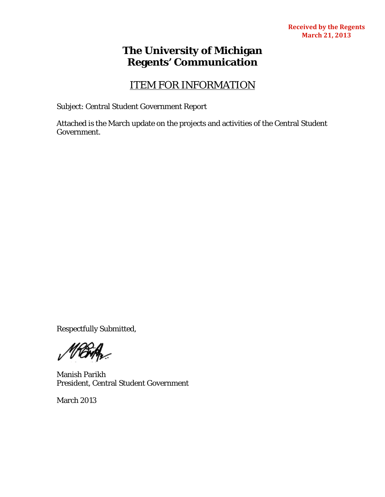## **The University of Michigan Regents' Communication**

## ITEM FOR INFORMATION

Subject: Central Student Government Report

Attached is the March update on the projects and activities of the Central Student Government.

Respectfully Submitted,

N BY Az

Manish Parikh President, Central Student Government

March 2013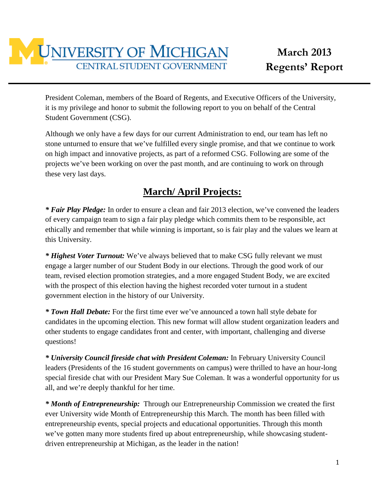

President Coleman, members of the Board of Regents, and Executive Officers of the University, it is my privilege and honor to submit the following report to you on behalf of the Central Student Government (CSG).

Although we only have a few days for our current Administration to end, our team has left no stone unturned to ensure that we've fulfilled every single promise, and that we continue to work on high impact and innovative projects, as part of a reformed CSG. Following are some of the projects we've been working on over the past month, and are continuing to work on through these very last days.

## **March/ April Projects:**

*\* Fair Play Pledge:* In order to ensure a clean and fair 2013 election, we've convened the leaders of every campaign team to sign a fair play pledge which commits them to be responsible, act ethically and remember that while winning is important, so is fair play and the values we learn at this University.

*\* Highest Voter Turnout:* We've always believed that to make CSG fully relevant we must engage a larger number of our Student Body in our elections. Through the good work of our team, revised election promotion strategies, and a more engaged Student Body, we are excited with the prospect of this election having the highest recorded voter turnout in a student government election in the history of our University.

*\* Town Hall Debate:* For the first time ever we've announced a town hall style debate for candidates in the upcoming election. This new format will allow student organization leaders and other students to engage candidates front and center, with important, challenging and diverse questions!

*\* University Council fireside chat with President Coleman:* In February University Council leaders (Presidents of the 16 student governments on campus) were thrilled to have an hour-long special fireside chat with our President Mary Sue Coleman. It was a wonderful opportunity for us all, and we're deeply thankful for her time.

*\* Month of Entrepreneurship:* Through our Entrepreneurship Commission we created the first ever University wide Month of Entrepreneurship this March. The month has been filled with entrepreneurship events, special projects and educational opportunities. Through this month we've gotten many more students fired up about entrepreneurship, while showcasing studentdriven entrepreneurship at Michigan, as the leader in the nation!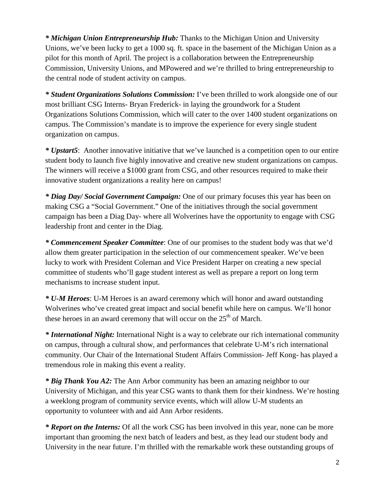*\* Michigan Union Entrepreneurship Hub:* Thanks to the Michigan Union and University Unions, we've been lucky to get a 1000 sq. ft. space in the basement of the Michigan Union as a pilot for this month of April. The project is a collaboration between the Entrepreneurship Commission, University Unions, and MPowered and we're thrilled to bring entrepreneurship to the central node of student activity on campus.

*\* Student Organizations Solutions Commission:* I've been thrilled to work alongside one of our most brilliant CSG Interns- Bryan Frederick- in laying the groundwork for a Student Organizations Solutions Commission, which will cater to the over 1400 student organizations on campus. The Commission's mandate is to improve the experience for every single student organization on campus.

*\* Upstart5*: Another innovative initiative that we've launched is a competition open to our entire student body to launch five highly innovative and creative new student organizations on campus. The winners will receive a \$1000 grant from CSG, and other resources required to make their innovative student organizations a reality here on campus!

*\* Diag Day/ Social Government Campaign:* One of our primary focuses this year has been on making CSG a "Social Government." One of the initiatives through the social government campaign has been a Diag Day- where all Wolverines have the opportunity to engage with CSG leadership front and center in the Diag.

*\* Commencement Speaker Committee*: One of our promises to the student body was that we'd allow them greater participation in the selection of our commencement speaker. We've been lucky to work with President Coleman and Vice President Harper on creating a new special committee of students who'll gage student interest as well as prepare a report on long term mechanisms to increase student input.

*\* U-M Heroes*: U-M Heroes is an award ceremony which will honor and award outstanding Wolverines who've created great impact and social benefit while here on campus. We'll honor these heroes in an award ceremony that will occur on the  $25<sup>th</sup>$  of March.

*\* International Night:* International Night is a way to celebrate our rich international community on campus, through a cultural show, and performances that celebrate U-M's rich international community. Our Chair of the International Student Affairs Commission- Jeff Kong- has played a tremendous role in making this event a reality.

*\* Big Thank You A2:* The Ann Arbor community has been an amazing neighbor to our University of Michigan, and this year CSG wants to thank them for their kindness. We're hosting a weeklong program of community service events, which will allow U-M students an opportunity to volunteer with and aid Ann Arbor residents.

*\* Report on the Interns:* Of all the work CSG has been involved in this year, none can be more important than grooming the next batch of leaders and best, as they lead our student body and University in the near future. I'm thrilled with the remarkable work these outstanding groups of